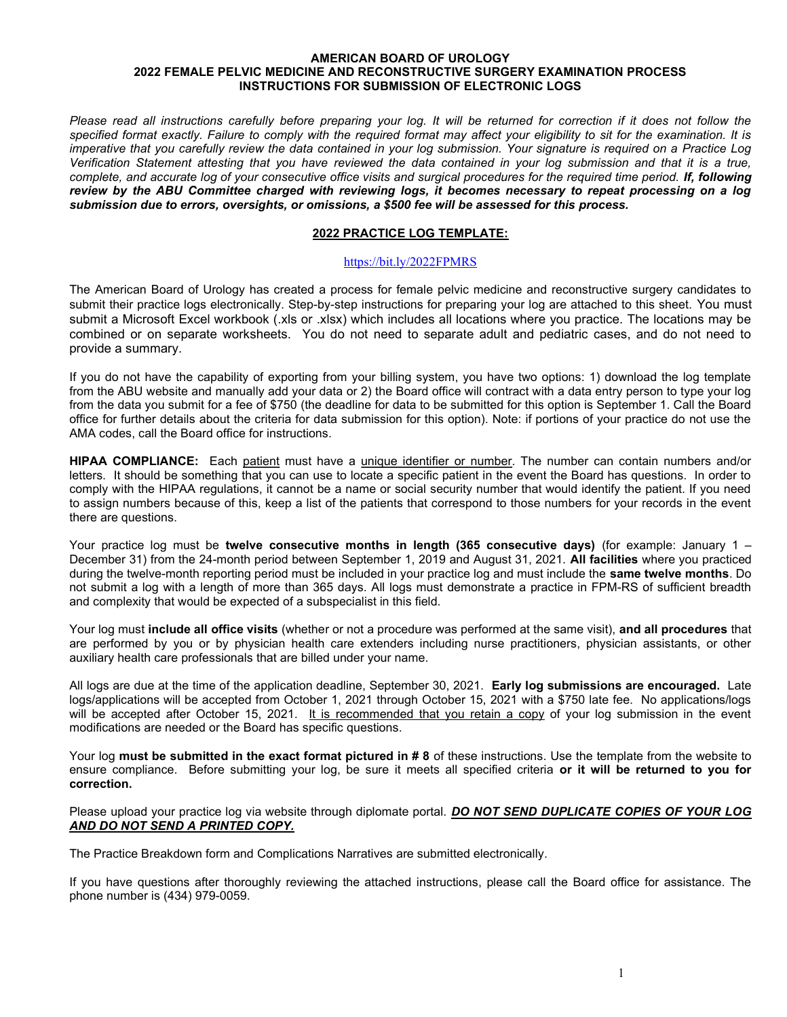#### AMERICAN BOARD OF UROLOGY 2022 FEMALE PELVIC MEDICINE AND RECONSTRUCTIVE SURGERY EXAMINATION PROCESS INSTRUCTIONS FOR SUBMISSION OF ELECTRONIC LOGS

Please read all instructions carefully before preparing your log. It will be returned for correction if it does not follow the specified format exactly. Failure to comply with the required format may affect your eligibility to sit for the examination. It is imperative that you carefully review the data contained in your log submission. Your signature is required on a Practice Log Verification Statement attesting that you have reviewed the data contained in your log submission and that it is a true, complete, and accurate log of your consecutive office visits and surgical procedures for the required time period. If, following review by the ABU Committee charged with reviewing logs, it becomes necessary to repeat processing on a log submission due to errors, oversights, or omissions, a \$500 fee will be assessed for this process.

### 2022 PRACTICE LOG TEMPLATE:

#### https://bit.ly/2022FPMRS

The American Board of Urology has created a process for female pelvic medicine and reconstructive surgery candidates to submit their practice logs electronically. Step-by-step instructions for preparing your log are attached to this sheet. You must submit a Microsoft Excel workbook (.xls or .xlsx) which includes all locations where you practice. The locations may be combined or on separate worksheets. You do not need to separate adult and pediatric cases, and do not need to provide a summary.

If you do not have the capability of exporting from your billing system, you have two options: 1) download the log template from the ABU website and manually add your data or 2) the Board office will contract with a data entry person to type your log from the data you submit for a fee of \$750 (the deadline for data to be submitted for this option is September 1. Call the Board office for further details about the criteria for data submission for this option). Note: if portions of your practice do not use the AMA codes, call the Board office for instructions.

HIPAA COMPLIANCE: Each patient must have a unique identifier or number. The number can contain numbers and/or letters. It should be something that you can use to locate a specific patient in the event the Board has questions. In order to comply with the HIPAA regulations, it cannot be a name or social security number that would identify the patient. If you need to assign numbers because of this, keep a list of the patients that correspond to those numbers for your records in the event there are questions.

Your practice log must be twelve consecutive months in length (365 consecutive days) (for example: January 1 – December 31) from the 24-month period between September 1, 2019 and August 31, 2021. All facilities where you practiced during the twelve-month reporting period must be included in your practice log and must include the same twelve months. Do not submit a log with a length of more than 365 days. All logs must demonstrate a practice in FPM-RS of sufficient breadth and complexity that would be expected of a subspecialist in this field.

Your log must include all office visits (whether or not a procedure was performed at the same visit), and all procedures that are performed by you or by physician health care extenders including nurse practitioners, physician assistants, or other auxiliary health care professionals that are billed under your name.

All logs are due at the time of the application deadline, September 30, 2021. Early log submissions are encouraged. Late logs/applications will be accepted from October 1, 2021 through October 15, 2021 with a \$750 late fee. No applications/logs will be accepted after October 15, 2021. It is recommended that you retain a copy of your log submission in the event modifications are needed or the Board has specific questions.

Your log must be submitted in the exact format pictured in # 8 of these instructions. Use the template from the website to ensure compliance. Before submitting your log, be sure it meets all specified criteria or it will be returned to you for correction.

#### Please upload your practice log via website through diplomate portal. DO NOT SEND DUPLICATE COPIES OF YOUR LOG AND DO NOT SEND A PRINTED COPY.

The Practice Breakdown form and Complications Narratives are submitted electronically.

If you have questions after thoroughly reviewing the attached instructions, please call the Board office for assistance. The phone number is (434) 979-0059.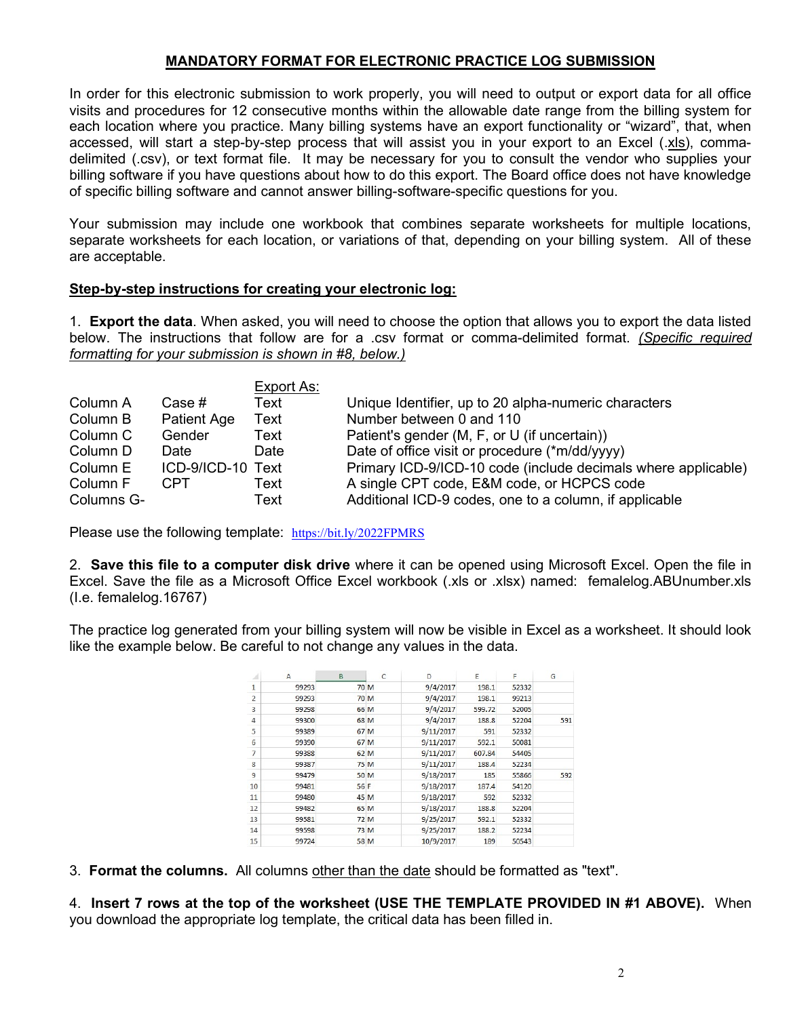# MANDATORY FORMAT FOR ELECTRONIC PRACTICE LOG SUBMISSION

In order for this electronic submission to work properly, you will need to output or export data for all office visits and procedures for 12 consecutive months within the allowable date range from the billing system for each location where you practice. Many billing systems have an export functionality or "wizard", that, when accessed, will start a step-by-step process that will assist you in your export to an Excel (.xls), commadelimited (.csv), or text format file. It may be necessary for you to consult the vendor who supplies your billing software if you have questions about how to do this export. The Board office does not have knowledge of specific billing software and cannot answer billing-software-specific questions for you.

Your submission may include one workbook that combines separate worksheets for multiple locations, separate worksheets for each location, or variations of that, depending on your billing system. All of these are acceptable.

## Step-by-step instructions for creating your electronic log:

1. **Export the data**. When asked, you will need to choose the option that allows you to export the data listed below. The instructions that follow are for a .csv format or comma-delimited format. (Specific required formatting for your submission is shown in #8, below.)

|            |                   | Export As: |                                                               |
|------------|-------------------|------------|---------------------------------------------------------------|
| Column A   | Case #            | Text       | Unique Identifier, up to 20 alpha-numeric characters          |
| Column B   | Patient Age       | Text       | Number between 0 and 110                                      |
| Column C   | Gender            | Text       | Patient's gender (M, F, or U (if uncertain))                  |
| Column D   | Date              | Date       | Date of office visit or procedure (*m/dd/yyyy)                |
| Column E   | ICD-9/ICD-10 Text |            | Primary ICD-9/ICD-10 code (include decimals where applicable) |
| Column F   | CPT.              | Text       | A single CPT code, E&M code, or HCPCS code                    |
| Columns G- |                   | Text       | Additional ICD-9 codes, one to a column, if applicable        |

Please use the following template: https://bit.ly/2022FPMRS

2. Save this file to a computer disk drive where it can be opened using Microsoft Excel. Open the file in Excel. Save the file as a Microsoft Office Excel workbook (.xls or .xlsx) named: femalelog.ABUnumber.xls (I.e. femalelog.16767)

The practice log generated from your billing system will now be visible in Excel as a worksheet. It should look like the example below. Be careful to not change any values in the data.

|                | A     | B    | C    | D         | E      | F     | G   |
|----------------|-------|------|------|-----------|--------|-------|-----|
| 1              | 99293 |      | 70 M | 9/4/2017  | 198.1  | 52332 |     |
| $\overline{2}$ | 99293 |      | 70 M | 9/4/2017  | 198.1  | 99213 |     |
| 3              | 99298 |      | 66 M | 9/4/2017  | 599.72 | 52005 |     |
| 4              | 99300 |      | 68 M | 9/4/2017  | 188.8  | 52204 | 591 |
| 5              | 99389 |      | 67 M | 9/11/2017 | 591    | 52332 |     |
| 6              | 99390 |      | 67 M | 9/11/2017 | 592.1  | 50081 |     |
| 7              | 99388 |      | 62 M | 9/11/2017 | 607.84 | 54405 |     |
| 8              | 99387 |      | 75 M | 9/11/2017 | 188.4  | 52234 |     |
| 9              | 99479 | 50 M |      | 9/18/2017 | 185    | 55866 | 592 |
| 10             | 99481 | 56 F |      | 9/18/2017 | 187.4  | 54120 |     |
| 11             | 99480 | 45 M |      | 9/18/2017 | 592    | 52332 |     |
| 12             | 99482 | 65 M |      | 9/18/2017 | 188.8  | 52204 |     |
| 13             | 99581 |      | 72 M | 9/25/2017 | 592.1  | 52332 |     |
| 14             | 99598 |      | 73 M | 9/25/2017 | 188.2  | 52234 |     |
| 15             | 99724 |      | 58 M | 10/9/2017 | 189    | 50543 |     |

3. Format the columns. All columns other than the date should be formatted as "text".

4. Insert 7 rows at the top of the worksheet (USE THE TEMPLATE PROVIDED IN #1 ABOVE). When you download the appropriate log template, the critical data has been filled in.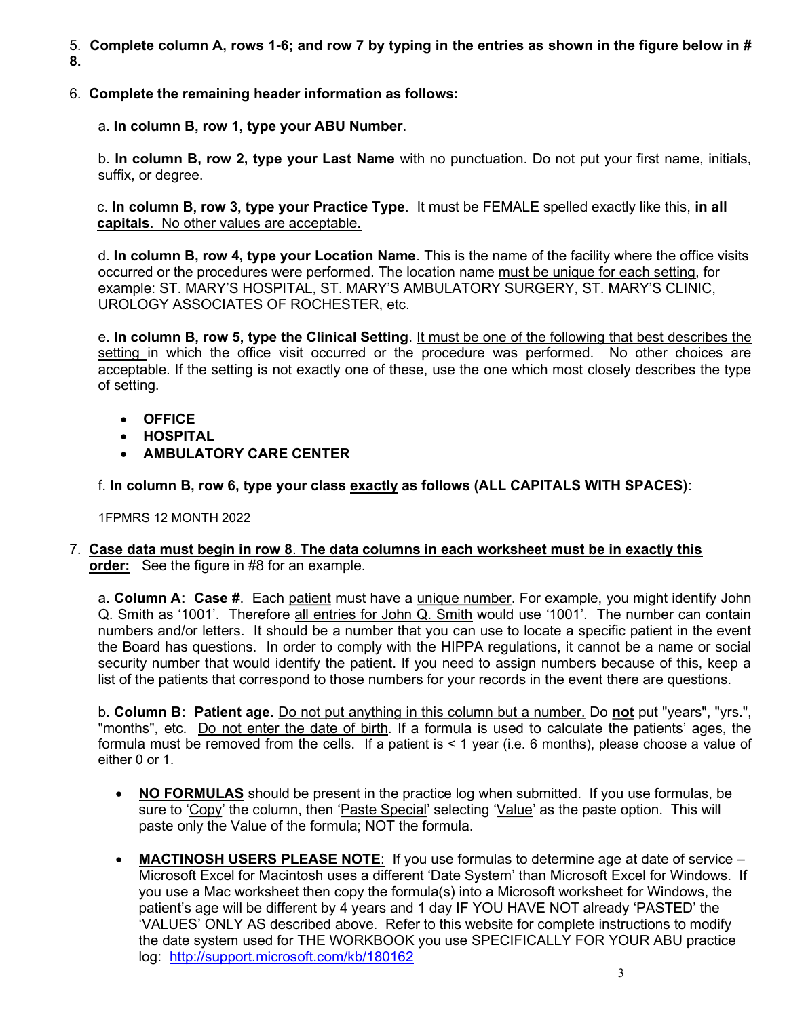- 5. Complete column A, rows 1-6; and row 7 by typing in the entries as shown in the figure below in # 8.
- 6. Complete the remaining header information as follows:

a. In column B, row 1, type your ABU Number.

b. In column B, row 2, type your Last Name with no punctuation. Do not put your first name, initials, suffix, or degree.

c. In column B, row 3, type your Practice Type. It must be FEMALE spelled exactly like this, in all capitals. No other values are acceptable.

d. In column B, row 4, type your Location Name. This is the name of the facility where the office visits occurred or the procedures were performed. The location name must be unique for each setting, for example: ST. MARY'S HOSPITAL, ST. MARY'S AMBULATORY SURGERY, ST. MARY'S CLINIC, UROLOGY ASSOCIATES OF ROCHESTER, etc.

e. In column B, row 5, type the Clinical Setting. It must be one of the following that best describes the setting in which the office visit occurred or the procedure was performed. No other choices are acceptable. If the setting is not exactly one of these, use the one which most closely describes the type of setting.

- OFFICE
- HOSPITAL
- **AMBULATORY CARE CENTER**

f. In column B, row 6, type your class exactly as follows (ALL CAPITALS WITH SPACES):

1FPMRS 12 MONTH 2022

# 7. Case data must begin in row 8. The data columns in each worksheet must be in exactly this order: See the figure in #8 for an example.

a. Column A: Case #. Each patient must have a unique number. For example, you might identify John Q. Smith as '1001'. Therefore all entries for John Q. Smith would use '1001'. The number can contain numbers and/or letters. It should be a number that you can use to locate a specific patient in the event the Board has questions. In order to comply with the HIPPA regulations, it cannot be a name or social security number that would identify the patient. If you need to assign numbers because of this, keep a list of the patients that correspond to those numbers for your records in the event there are questions.

b. Column B: Patient age. Do not put anything in this column but a number. Do not put "years", "yrs.", "months", etc. Do not enter the date of birth. If a formula is used to calculate the patients' ages, the formula must be removed from the cells. If a patient is < 1 year (i.e. 6 months), please choose a value of either 0 or 1.

- NO FORMULAS should be present in the practice log when submitted. If you use formulas, be sure to 'Copy' the column, then 'Paste Special' selecting 'Value' as the paste option. This will paste only the Value of the formula; NOT the formula.
- MACTINOSH USERS PLEASE NOTE: If you use formulas to determine age at date of service Microsoft Excel for Macintosh uses a different 'Date System' than Microsoft Excel for Windows. If you use a Mac worksheet then copy the formula(s) into a Microsoft worksheet for Windows, the patient's age will be different by 4 years and 1 day IF YOU HAVE NOT already 'PASTED' the 'VALUES' ONLY AS described above. Refer to this website for complete instructions to modify the date system used for THE WORKBOOK you use SPECIFICALLY FOR YOUR ABU practice log: http://support.microsoft.com/kb/180162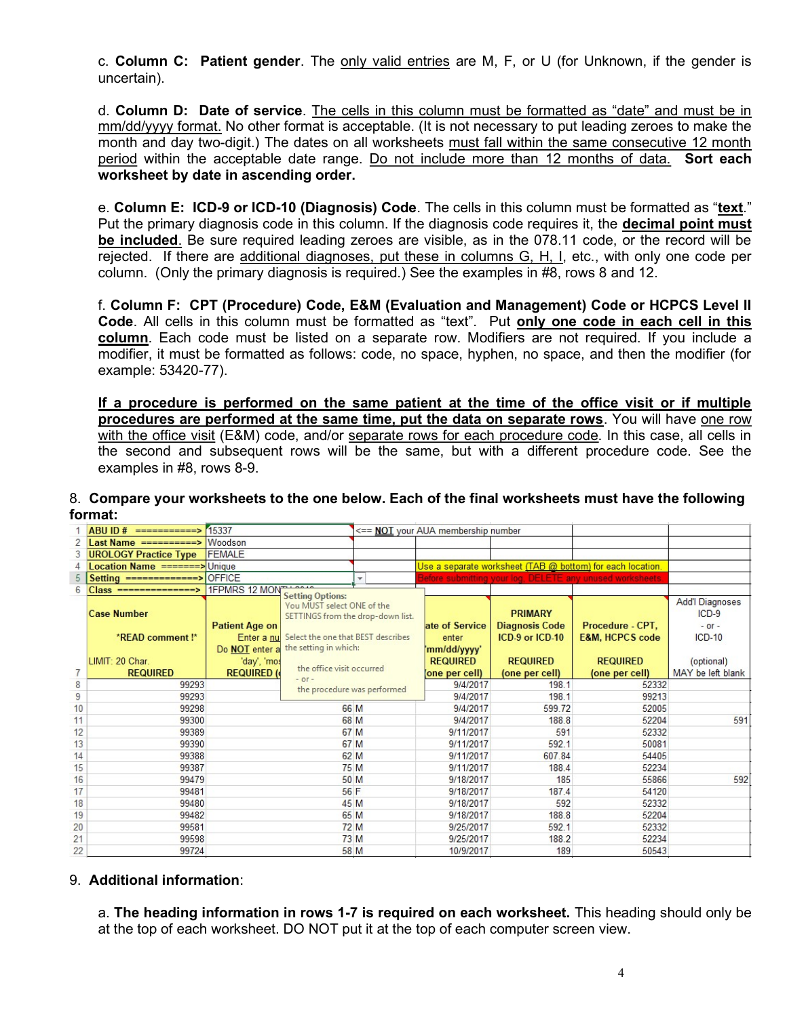c. Column C: Patient gender. The only valid entries are M, F, or U (for Unknown, if the gender is uncertain).

d. Column D: Date of service. The cells in this column must be formatted as "date" and must be in mm/dd/yyyy format. No other format is acceptable. (It is not necessary to put leading zeroes to make the month and day two-digit.) The dates on all worksheets must fall within the same consecutive 12 month period within the acceptable date range. Do not include more than 12 months of data. Sort each worksheet by date in ascending order.

e. Column E: ICD-9 or ICD-10 (Diagnosis) Code. The cells in this column must be formatted as "text." Put the primary diagnosis code in this column. If the diagnosis code requires it, the **decimal point must** be included. Be sure required leading zeroes are visible, as in the 078.11 code, or the record will be rejected. If there are additional diagnoses, put these in columns G, H, I, etc., with only one code per column. (Only the primary diagnosis is required.) See the examples in #8, rows 8 and 12.

f. Column F: CPT (Procedure) Code, E&M (Evaluation and Management) Code or HCPCS Level II Code. All cells in this column must be formatted as "text". Put only one code in each cell in this column. Each code must be listed on a separate row. Modifiers are not required. If you include a modifier, it must be formatted as follows: code, no space, hyphen, no space, and then the modifier (for example: 53420-77).

If a procedure is performed on the same patient at the time of the office visit or if multiple procedures are performed at the same time, put the data on separate rows. You will have one row with the office visit (E&M) code, and/or separate rows for each procedure code. In this case, all cells in the second and subsequent rows will be the same, but with a different procedure code. See the examples in #8, rows 8-9.

### 8. Compare your worksheets to the one below. Each of the final worksheets must have the following format:

|    | $ABUID # == == == == == ==$          | 15337                 |                                                                                            |           | <== NOT your AUA membership number                         |                                         |                            |                                                 |
|----|--------------------------------------|-----------------------|--------------------------------------------------------------------------------------------|-----------|------------------------------------------------------------|-----------------------------------------|----------------------------|-------------------------------------------------|
|    | Last Name ==========>                | Woodson               |                                                                                            |           |                                                            |                                         |                            |                                                 |
| 3  | <b>UROLOGY Practice Type</b>         | <b>FEMALE</b>         |                                                                                            |           |                                                            |                                         |                            |                                                 |
|    | Location Name =======> Unique        |                       |                                                                                            |           | Use a separate worksheet (TAB @ bottom) for each location. |                                         |                            |                                                 |
| 5  | Setting =============>               | <b>OFFICE</b>         |                                                                                            | ÷         | Before submitting your log, DELETE any unused worksheets   |                                         |                            |                                                 |
| 6  | $Class = = = = = = = = = = = >$      | 1FPMRS 12 MON         |                                                                                            |           |                                                            |                                         |                            |                                                 |
|    | <b>Case Number</b>                   | <b>Patient Age on</b> | <b>Setting Options:</b><br>You MUST select ONE of the<br>SETTINGS from the drop-down list. |           | ate of Service                                             | <b>PRIMARY</b><br><b>Diagnosis Code</b> | Procedure - CPT,           | <b>Add'l Diagnoses</b><br>$ICD-9$<br>$-$ or $-$ |
|    | *READ comment!*                      |                       | Enter a nu Select the one that BEST describes                                              |           | enter                                                      | ICD-9 or ICD-10                         | <b>E&amp;M, HCPCS code</b> | $ICD-10$                                        |
|    |                                      |                       | Do <b>NOT</b> enter a the setting in which:                                                |           |                                                            |                                         |                            |                                                 |
|    | LIMIT: 20 Char.                      | 'day', 'mos           |                                                                                            |           | mm/dd/yyyy'<br><b>REQUIRED</b>                             | <b>REQUIRED</b>                         | <b>REQUIRED</b>            | (optional)                                      |
| 7  | <b>REQUIRED (</b><br><b>REQUIRED</b> |                       | the office visit occurred                                                                  |           | one per cell)                                              | (one per cell)                          | (one per cell)             | MAY be left blank                               |
| 8  | 99293                                |                       | $-$ or $-$<br>the procedure was performed                                                  |           | 9/4/2017                                                   | 198.1                                   | 52332                      |                                                 |
| 9  | 99293                                |                       |                                                                                            |           | 9/4/2017                                                   | 198.1                                   | 99213                      |                                                 |
| 10 | 99298                                |                       | 66 M                                                                                       |           | 9/4/2017                                                   | 599.72                                  | 52005                      |                                                 |
| 11 | 99300                                |                       | 68 M                                                                                       |           | 9/4/2017                                                   | 188.8                                   | 52204                      | 591                                             |
| 12 | 99389                                | 67 M                  |                                                                                            |           | 9/11/2017                                                  | 591                                     | 52332                      |                                                 |
| 13 | 99390                                | 67 M                  |                                                                                            | 9/11/2017 | 592.1                                                      | 50081                                   |                            |                                                 |
| 14 | 99388                                |                       | 62 M                                                                                       |           | 9/11/2017                                                  | 607.84                                  | 54405                      |                                                 |
| 15 | 99387                                |                       | 75 M                                                                                       |           | 9/11/2017                                                  | 188.4                                   | 52234                      |                                                 |
| 16 | 99479                                |                       | 50 M                                                                                       |           | 9/18/2017                                                  | 185                                     | 55866                      | 592                                             |
| 17 | 99481                                |                       | 56 F                                                                                       |           | 9/18/2017                                                  | 187.4                                   | 54120                      |                                                 |
| 18 | 45 M<br>99480                        |                       |                                                                                            | 9/18/2017 | 592                                                        | 52332                                   |                            |                                                 |
| 19 | 65 M<br>99482                        |                       |                                                                                            | 9/18/2017 | 188.8                                                      | 52204                                   |                            |                                                 |
| 20 | 99581                                |                       | 72 M                                                                                       |           | 9/25/2017                                                  | 592.1                                   | 52332                      |                                                 |
| 21 | 99598                                |                       | 73 M                                                                                       |           | 9/25/2017                                                  | 188.2                                   | 52234                      |                                                 |
| 22 | 99724                                |                       | 58 M                                                                                       |           | 10/9/2017                                                  | 189                                     | 50543                      |                                                 |

# 9. Additional information:

a. The heading information in rows 1-7 is required on each worksheet. This heading should only be at the top of each worksheet. DO NOT put it at the top of each computer screen view.